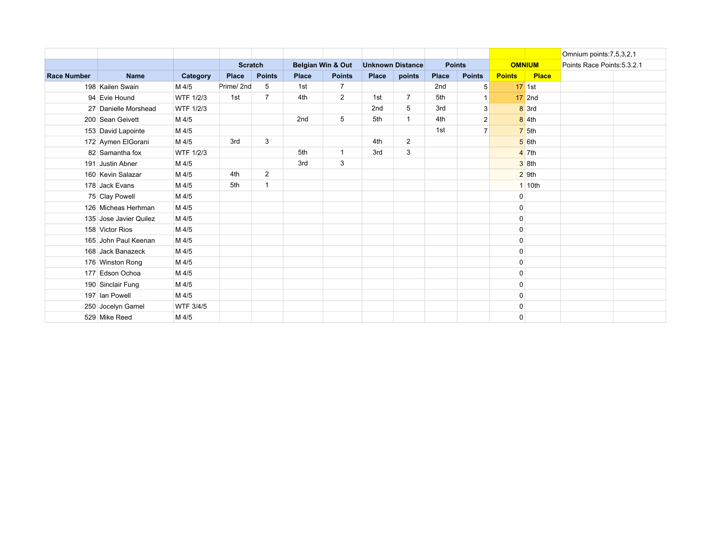|                    |                        |                  |                |                |                   |                |                         |                |               |                |               |                                    | Omnium points: 7, 5, 3, 2, 1 |  |
|--------------------|------------------------|------------------|----------------|----------------|-------------------|----------------|-------------------------|----------------|---------------|----------------|---------------|------------------------------------|------------------------------|--|
|                    |                        |                  | <b>Scratch</b> |                | Belgian Win & Out |                | <b>Unknown Distance</b> |                | <b>Points</b> |                | <b>OMNIUM</b> |                                    | Points Race Points: 5.3.2.1  |  |
| <b>Race Number</b> | <b>Name</b>            | Category         | <b>Place</b>   | <b>Points</b>  | <b>Place</b>      | <b>Points</b>  | <b>Place</b>            | points         | <b>Place</b>  | <b>Points</b>  | <b>Points</b> | <b>Place</b>                       |                              |  |
|                    | 198 Kailen Swain       | M 4/5            | Prime/2nd      | 5              | 1st               | $\overline{7}$ |                         |                | 2nd           | 5              |               | $17$ 1st                           |                              |  |
|                    | 94 Evie Hound          | <b>WTF 1/2/3</b> | 1st            | $\overline{7}$ | 4th               | $\overline{2}$ | 1st                     | $\overline{7}$ | 5th           | $\mathbf{1}$   |               | $17$ 2nd                           |                              |  |
|                    | 27 Danielle Morshead   | WTF 1/2/3        |                |                |                   |                | 2nd                     | 5              | 3rd           | 3              |               | $8 \overline{\smash{\big)}\ 3}$ rd |                              |  |
|                    | 200 Sean Geivett       | M 4/5            |                |                | 2nd               | 5              | 5th                     | $\overline{1}$ | 4th           | $\overline{2}$ |               | $8 \vert 4th$                      |                              |  |
|                    | 153 David Lapointe     | M 4/5            |                |                |                   |                |                         |                | 1st           | $\overline{7}$ |               | 75th                               |                              |  |
|                    | 172 Aymen ElGorani     | M 4/5            | 3rd            | 3              |                   |                | 4th                     | $\overline{2}$ |               |                |               | $5$ 6th                            |                              |  |
|                    | 82 Samantha fox        | <b>WTF 1/2/3</b> |                |                | 5th               | $\mathbf{1}$   | 3rd                     | 3              |               |                |               | $4 \overline{\smash{\big)}$ 7th    |                              |  |
|                    | 191 Justin Abner       | M 4/5            |                |                | 3rd               | 3              |                         |                |               |                |               | $3$ 8th                            |                              |  |
|                    | 160 Kevin Salazar      | M 4/5            | 4th            | $\overline{2}$ |                   |                |                         |                |               |                |               | $2$ 9th                            |                              |  |
|                    | 178 Jack Evans         | M 4/5            | 5th            | $\mathbf{1}$   |                   |                |                         |                |               |                |               | 1 10th                             |                              |  |
|                    | 75 Clay Powell         | M 4/5            |                |                |                   |                |                         |                |               |                | $\mathbf 0$   |                                    |                              |  |
|                    | 126 Micheas Herhman    | M 4/5            |                |                |                   |                |                         |                |               |                | $\mathbf 0$   |                                    |                              |  |
|                    | 135 Jose Javier Quilez | M 4/5            |                |                |                   |                |                         |                |               |                | $\mathbf 0$   |                                    |                              |  |
|                    | 158 Victor Rios        | M 4/5            |                |                |                   |                |                         |                |               |                | $\mathbf 0$   |                                    |                              |  |
|                    | 165 John Paul Keenan   | M 4/5            |                |                |                   |                |                         |                |               |                | $\mathbf 0$   |                                    |                              |  |
|                    | 168 Jack Banazeck      | M 4/5            |                |                |                   |                |                         |                |               |                | $\mathbf 0$   |                                    |                              |  |
|                    | 176 Winston Rong       | M 4/5            |                |                |                   |                |                         |                |               |                | $\mathbf 0$   |                                    |                              |  |
|                    | 177 Edson Ochoa        | M 4/5            |                |                |                   |                |                         |                |               |                | $\mathbf 0$   |                                    |                              |  |
|                    | 190 Sinclair Fung      | M 4/5            |                |                |                   |                |                         |                |               |                | $\mathbf 0$   |                                    |                              |  |
|                    | 197 Ian Powell         | M 4/5            |                |                |                   |                |                         |                |               |                | $\mathbf 0$   |                                    |                              |  |
|                    | 250 Jocelyn Gamel      | WTF 3/4/5        |                |                |                   |                |                         |                |               |                | $\mathbf 0$   |                                    |                              |  |
|                    | 529 Mike Reed          | M 4/5            |                |                |                   |                |                         |                |               |                | $\mathbf{0}$  |                                    |                              |  |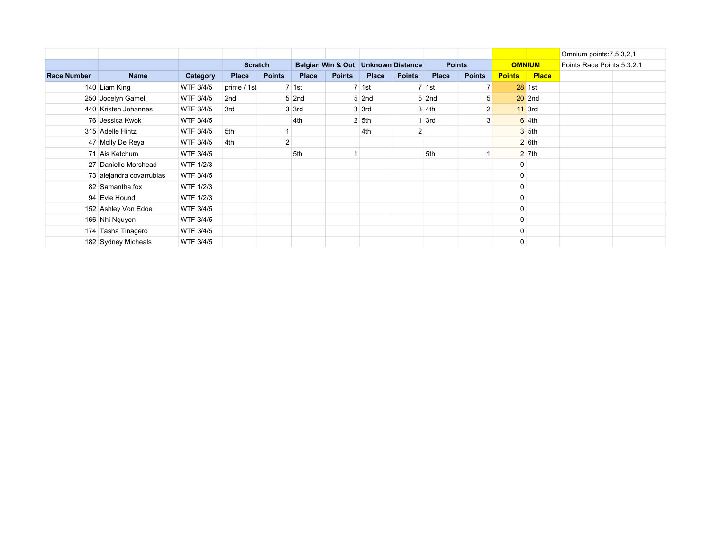|                    |                          |                  |                 |                |                 |               |                                      |               |               |               |               |                     | Omnium points: 7, 5, 3, 2, 1 |  |
|--------------------|--------------------------|------------------|-----------------|----------------|-----------------|---------------|--------------------------------------|---------------|---------------|---------------|---------------|---------------------|------------------------------|--|
|                    |                          |                  | <b>Scratch</b>  |                |                 |               | Belgian Win & Out   Unknown Distance |               | <b>Points</b> |               | <b>OMNIUM</b> |                     | Points Race Points: 5.3.2.1  |  |
| <b>Race Number</b> | <b>Name</b>              | Category         | Place           | <b>Points</b>  | <b>Place</b>    | <b>Points</b> | <b>Place</b>                         | <b>Points</b> | <b>Place</b>  | <b>Points</b> | <b>Points</b> | <b>Place</b>        |                              |  |
|                    | 140 Liam King            | WTF 3/4/5        | prime / 1st     |                | $7 \vert 1st$   |               | 7 1st                                |               | $7 \vert 1st$ |               |               | $28$ 1st            |                              |  |
|                    | 250 Jocelyn Gamel        | WTF 3/4/5        | 2 <sub>nd</sub> |                | $5$ 2nd         |               | $5$ 2nd                              |               | $5$ 2nd       |               |               | $20$ 2nd            |                              |  |
|                    | 440 Kristen Johannes     | WTF 3/4/5        | 3rd             |                | $3 \times 3$ rd |               | $3 \vert 3$ rd                       |               | $3 \vert 4th$ |               |               | $11$ 3rd            |                              |  |
|                    | 76 Jessica Kwok          | WTF 3/4/5        |                 |                | 4th             |               | $2 \, 5$ th                          |               | 3rd           |               |               | $6 \,$ 4th          |                              |  |
|                    | 315 Adelle Hintz         | WTF 3/4/5        | 5th             |                |                 |               | 4th                                  |               |               |               |               | $3 \, 5$ th         |                              |  |
|                    | 47 Molly De Reya         | WTF 3/4/5        | 4th             | $\overline{c}$ |                 |               |                                      |               |               |               |               | $2$ 6th             |                              |  |
|                    | 71 Ais Ketchum           | WTF 3/4/5        |                 |                | 5th             |               |                                      |               | 5th           |               |               | $2 \overline{7}$ th |                              |  |
|                    | 27 Danielle Morshead     | <b>WTF 1/2/3</b> |                 |                |                 |               |                                      |               |               |               | 0             |                     |                              |  |
|                    | 73 alejandra covarrubias | WTF 3/4/5        |                 |                |                 |               |                                      |               |               |               | 0             |                     |                              |  |
|                    | 82 Samantha fox          | <b>WTF 1/2/3</b> |                 |                |                 |               |                                      |               |               |               | 0             |                     |                              |  |
|                    | 94 Evie Hound            | <b>WTF 1/2/3</b> |                 |                |                 |               |                                      |               |               |               | 0             |                     |                              |  |
|                    | 152 Ashley Von Edoe      | WTF 3/4/5        |                 |                |                 |               |                                      |               |               |               | 0             |                     |                              |  |
|                    | 166 Nhi Nguyen           | WTF 3/4/5        |                 |                |                 |               |                                      |               |               |               | 0             |                     |                              |  |
|                    | 174 Tasha Tinagero       | WTF 3/4/5        |                 |                |                 |               |                                      |               |               |               | 0             |                     |                              |  |
|                    | 182 Sydney Micheals      | WTF 3/4/5        |                 |                |                 |               |                                      |               |               |               | 0             |                     |                              |  |